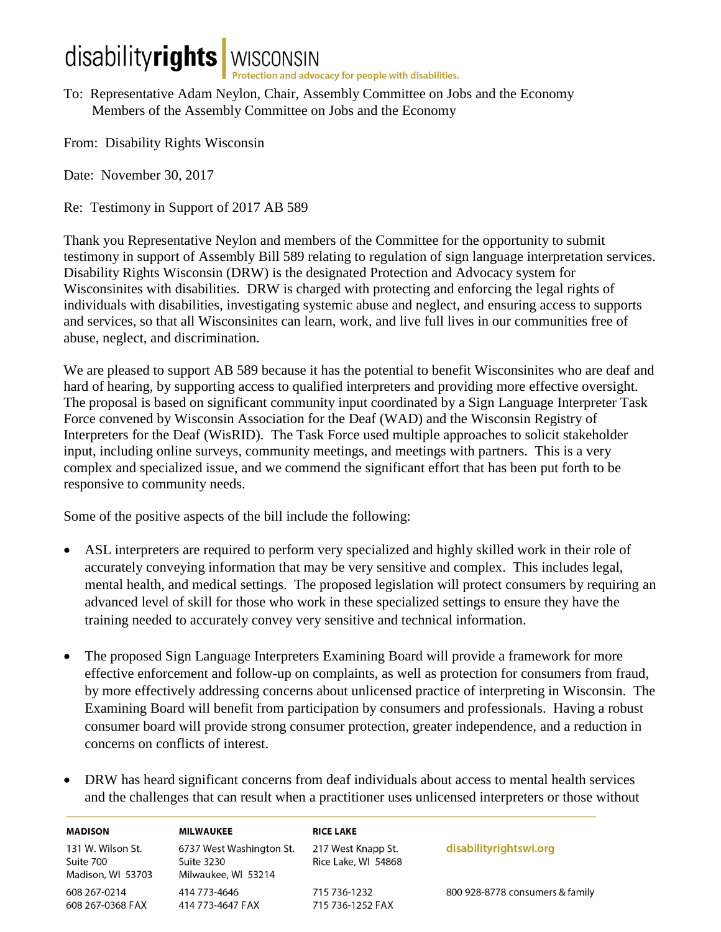## disabilityrights | WISCONSIN

To: Representative Adam Neylon, Chair, Assembly Committee on Jobs and the Economy Members of the Assembly Committee on Jobs and the Economy

From: Disability Rights Wisconsin

Date: November 30, 2017

Re: Testimony in Support of 2017 AB 589

Thank you Representative Neylon and members of the Committee for the opportunity to submit testimony in support of Assembly Bill 589 relating to regulation of sign language interpretation services. Disability Rights Wisconsin (DRW) is the designated Protection and Advocacy system for Wisconsinites with disabilities. DRW is charged with protecting and enforcing the legal rights of individuals with disabilities, investigating systemic abuse and neglect, and ensuring access to supports and services, so that all Wisconsinites can learn, work, and live full lives in our communities free of abuse, neglect, and discrimination.

We are pleased to support AB 589 because it has the potential to benefit Wisconsinites who are deaf and hard of hearing, by supporting access to qualified interpreters and providing more effective oversight. The proposal is based on significant community input coordinated by a Sign Language Interpreter Task Force convened by Wisconsin Association for the Deaf (WAD) and the Wisconsin Registry of Interpreters for the Deaf (WisRID). The Task Force used multiple approaches to solicit stakeholder input, including online surveys, community meetings, and meetings with partners. This is a very complex and specialized issue, and we commend the significant effort that has been put forth to be responsive to community needs.

Some of the positive aspects of the bill include the following:

- ASL interpreters are required to perform very specialized and highly skilled work in their role of accurately conveying information that may be very sensitive and complex. This includes legal, mental health, and medical settings. The proposed legislation will protect consumers by requiring an advanced level of skill for those who work in these specialized settings to ensure they have the training needed to accurately convey very sensitive and technical information.
- The proposed Sign Language Interpreters Examining Board will provide a framework for more effective enforcement and follow-up on complaints, as well as protection for consumers from fraud, by more effectively addressing concerns about unlicensed practice of interpreting in Wisconsin. The Examining Board will benefit from participation by consumers and professionals. Having a robust consumer board will provide strong consumer protection, greater independence, and a reduction in concerns on conflicts of interest.
- DRW has heard significant concerns from deaf individuals about access to mental health services and the challenges that can result when a practitioner uses unlicensed interpreters or those without

| <b>MADISON</b>                                      | MILWAUKEE                                                     | <b>RICE LAKE</b>                          |                                 |
|-----------------------------------------------------|---------------------------------------------------------------|-------------------------------------------|---------------------------------|
| 131 W. Wilson St.<br>Suite 700<br>Madison, WI 53703 | 6737 West Washington St.<br>Suite 3230<br>Milwaukee, WI 53214 | 217 West Knapp St.<br>Rice Lake, WI 54868 | disabilityrightswi.org          |
| 608 267-0214<br>608 267-0368 FAX                    | 414 773-4646<br>414 773-4647 FAX                              | 715 736-1232<br>715 736-1252 FAX          | 800 928-8778 consumers & family |